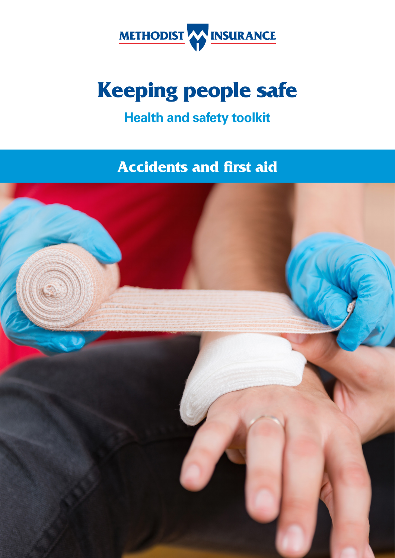

# **Keeping people safe**

# **Health and safety toolkit**

**Accidents and frst aid** 

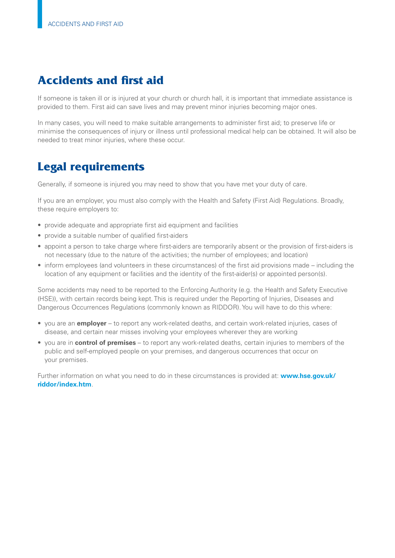# **Accidents and frst aid**

If someone is taken ill or is injured at your church or church hall, it is important that immediate assistance is provided to them. First aid can save lives and may prevent minor injuries becoming major ones.

In many cases, you will need to make suitable arrangements to administer frst aid; to preserve life or minimise the consequences of injury or illness until professional medical help can be obtained. It will also be needed to treat minor injuries, where these occur.

# **Legal requirements**

Generally, if someone is injured you may need to show that you have met your duty of care.

If you are an employer, you must also comply with the Health and Safety (First Aid) Regulations. Broadly, these require employers to:

- provide adequate and appropriate first aid equipment and facilities
- provide a suitable number of qualified first-aiders
- appoint a person to take charge where frst-aiders are temporarily absent or the provision of frst-aiders is not necessary (due to the nature of the activities; the number of employees; and location)
- inform employees (and volunteers in these circumstances) of the frst aid provisions made including the location of any equipment or facilities and the identity of the frst-aider(s) or appointed person(s).

Some accidents may need to be reported to the Enforcing Authority (e.g. the Health and Safety Executive (HSE)), with certain records being kept. This is required under the Reporting of Injuries, Diseases and Dangerous Occurrences Regulations (commonly known as RIDDOR). You will have to do this where:

- you are an **employer** to report any work-related deaths, and certain work-related injuries, cases of disease, and certain near misses involving your employees wherever they are working
- you are in **control of premises** to report any work-related deaths, certain injuries to members of the public and self-employed people on your premises, and dangerous occurrences that occur on your premises.

Further information on what you need to do in these circumstances is provided at: **[www.hse.gov.uk/](www.hse.gov.uk/riddor/index.htm) [riddor/index.htm](www.hse.gov.uk/riddor/index.htm)**.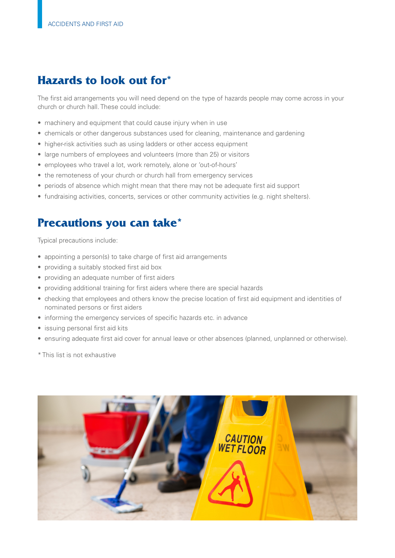# **Hazards to look out for\***

The frst aid arrangements you will need depend on the type of hazards people may come across in your church or church hall. These could include:

- machinery and equipment that could cause injury when in use
- chemicals or other dangerous substances used for cleaning, maintenance and gardening
- higher-risk activities such as using ladders or other access equipment
- large numbers of employees and volunteers (more than 25) or visitors
- employees who travel a lot, work remotely, alone or 'out-of-hours'
- the remoteness of your church or church hall from emergency services
- periods of absence which might mean that there may not be adequate first aid support
- fundraising activities, concerts, services or other community activities (e.g. night shelters).

# **Precautions you can take\***

Typical precautions include:

- appointing a person(s) to take charge of first aid arrangements
- providing a suitably stocked first aid box
- providing an adequate number of first aiders
- providing additional training for first aiders where there are special hazards
- checking that employees and others know the precise location of frst aid equipment and identities of nominated persons or first aiders
- informing the emergency services of specific hazards etc. in advance
- issuing personal first aid kits
- ensuring adequate first aid cover for annual leave or other absences (planned, unplanned or otherwise).

\* This list is not exhaustive

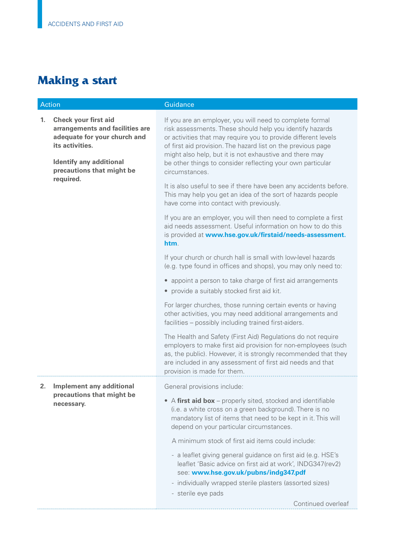# **Making a start**

| Action |                                                                                                                                                                                               | Guidance                                                                                                                                                                                                                                                                                                                                                                                          |
|--------|-----------------------------------------------------------------------------------------------------------------------------------------------------------------------------------------------|---------------------------------------------------------------------------------------------------------------------------------------------------------------------------------------------------------------------------------------------------------------------------------------------------------------------------------------------------------------------------------------------------|
| 1.     | <b>Check your first aid</b><br>arrangements and facilities are<br>adequate for your church and<br>its activities.<br><b>Identify any additional</b><br>precautions that might be<br>required. | If you are an employer, you will need to complete formal<br>risk assessments. These should help you identify hazards<br>or activities that may require you to provide different levels<br>of first aid provision. The hazard list on the previous page<br>might also help, but it is not exhaustive and there may<br>be other things to consider reflecting your own particular<br>circumstances. |
|        |                                                                                                                                                                                               | It is also useful to see if there have been any accidents before.<br>This may help you get an idea of the sort of hazards people<br>have come into contact with previously.                                                                                                                                                                                                                       |
|        |                                                                                                                                                                                               | If you are an employer, you will then need to complete a first<br>aid needs assessment. Useful information on how to do this<br>is provided at www.hse.gov.uk/firstaid/needs-assessment.<br>htm.                                                                                                                                                                                                  |
|        |                                                                                                                                                                                               | If your church or church hall is small with low-level hazards<br>(e.g. type found in offices and shops), you may only need to:                                                                                                                                                                                                                                                                    |
|        |                                                                                                                                                                                               | • appoint a person to take charge of first aid arrangements<br>• provide a suitably stocked first aid kit.                                                                                                                                                                                                                                                                                        |
|        |                                                                                                                                                                                               | For larger churches, those running certain events or having<br>other activities, you may need additional arrangements and<br>facilities - possibly including trained first-aiders.                                                                                                                                                                                                                |
|        |                                                                                                                                                                                               | The Health and Safety (First Aid) Regulations do not require<br>employers to make first aid provision for non-employees (such<br>as, the public). However, it is strongly recommended that they<br>are included in any assessment of first aid needs and that<br>provision is made for them.                                                                                                      |
| 2.     | <b>Implement any additional</b><br>precautions that might be<br>necessary.                                                                                                                    | General provisions include:                                                                                                                                                                                                                                                                                                                                                                       |
|        |                                                                                                                                                                                               | • A first aid box – properly sited, stocked and identifiable<br>(i.e. a white cross on a green background). There is no<br>mandatory list of items that need to be kept in it. This will<br>depend on your particular circumstances.                                                                                                                                                              |
|        |                                                                                                                                                                                               | A minimum stock of first aid items could include:                                                                                                                                                                                                                                                                                                                                                 |
|        |                                                                                                                                                                                               | - a leaflet giving general guidance on first aid (e.g. HSE's<br>leaflet 'Basic advice on first aid at work', INDG347(rev2)<br>see: www.hse.gov.uk/pubns/indg347.pdf                                                                                                                                                                                                                               |
|        |                                                                                                                                                                                               | - individually wrapped sterile plasters (assorted sizes)<br>- sterile eye pads                                                                                                                                                                                                                                                                                                                    |
|        |                                                                                                                                                                                               | Continued overleaf                                                                                                                                                                                                                                                                                                                                                                                |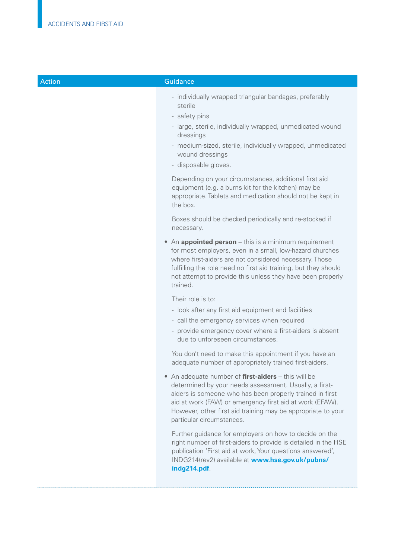|  | Action |
|--|--------|
|  |        |
|  |        |

#### **Guidance**

- individually wrapped triangular bandages, preferably sterile
- safety pins
- large, sterile, individually wrapped, unmedicated wound dressings
- medium-sized, sterile, individually wrapped, unmedicated wound dressings
- disposable gloves.

Depending on your circumstances, additional first aid equipment (e.g. a burns kit for the kitchen) may be appropriate. Tablets and medication should not be kept in the box.

Boxes should be checked periodically and re-stocked if necessary.

 • An **appointed person** – this is a minimum requirement for most employers, even in a small, low-hazard churches where first-aiders are not considered necessary. Those fulfilling the role need no first aid training, but they should not attempt to provide this unless they have been properly trained.

Their role is to:

- look after any first aid equipment and facilities
- call the emergency services when required
- provide emergency cover where a first-aiders is absent due to unforeseen circumstances.

You don't need to make this appointment if you have an adequate number of appropriately trained first-aiders.

• An adequate number of **first-aiders** – this will be determined by your needs assessment. Usually, a firstaiders is someone who has been properly trained in first aid at work (FAW) or emergency frst aid at work (EFAW). However, other first aid training may be appropriate to your particular circumstances.

Further guidance for employers on how to decide on the right number of first-aiders to provide is detailed in the HSE publication 'First aid at work, Your questions answered', INDG214(rev2) available at **[www.hse.gov.uk/pubns/](www.hse.gov.uk/pubns/indg214.pdf)  [indg214.pdf](www.hse.gov.uk/pubns/indg214.pdf)**.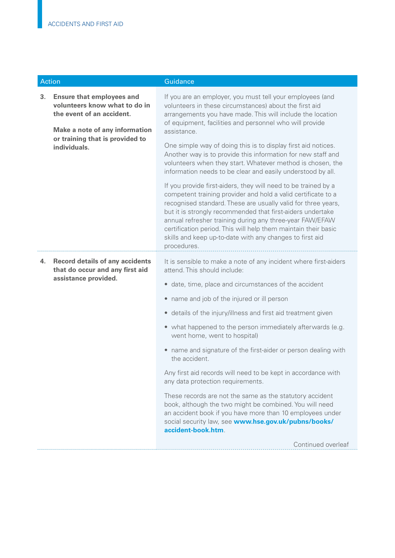| <b>Action</b> |                                                                                                                                                                                            | Guidance                                                                                                                                                                                                                                                                                                                                                                                                                                                                                                                  |
|---------------|--------------------------------------------------------------------------------------------------------------------------------------------------------------------------------------------|---------------------------------------------------------------------------------------------------------------------------------------------------------------------------------------------------------------------------------------------------------------------------------------------------------------------------------------------------------------------------------------------------------------------------------------------------------------------------------------------------------------------------|
| 3.            | <b>Ensure that employees and</b><br>volunteers know what to do in<br>the event of an accident.<br><b>Make a note of any information</b><br>or training that is provided to<br>individuals. | If you are an employer, you must tell your employees (and<br>volunteers in these circumstances) about the first aid<br>arrangements you have made. This will include the location<br>of equipment, facilities and personnel who will provide<br>assistance.<br>One simple way of doing this is to display first aid notices.<br>Another way is to provide this information for new staff and<br>volunteers when they start. Whatever method is chosen, the<br>information needs to be clear and easily understood by all. |
|               |                                                                                                                                                                                            | If you provide first-aiders, they will need to be trained by a<br>competent training provider and hold a valid certificate to a<br>recognised standard. These are usually valid for three years,<br>but it is strongly recommended that first-aiders undertake<br>annual refresher training during any three-year FAW/EFAW<br>certification period. This will help them maintain their basic<br>skills and keep up-to-date with any changes to first aid<br>procedures.                                                   |
| 4.            | <b>Record details of any accidents</b><br>that do occur and any first aid<br>assistance provided.                                                                                          | It is sensible to make a note of any incident where first-aiders<br>attend. This should include:                                                                                                                                                                                                                                                                                                                                                                                                                          |
|               |                                                                                                                                                                                            | • date, time, place and circumstances of the accident                                                                                                                                                                                                                                                                                                                                                                                                                                                                     |
|               |                                                                                                                                                                                            | name and job of the injured or ill person<br>$\bullet$                                                                                                                                                                                                                                                                                                                                                                                                                                                                    |
|               |                                                                                                                                                                                            | • details of the injury/illness and first aid treatment given                                                                                                                                                                                                                                                                                                                                                                                                                                                             |
|               |                                                                                                                                                                                            | • what happened to the person immediately afterwards (e.g.<br>went home, went to hospital)                                                                                                                                                                                                                                                                                                                                                                                                                                |
|               |                                                                                                                                                                                            | • name and signature of the first-aider or person dealing with<br>the accident.                                                                                                                                                                                                                                                                                                                                                                                                                                           |
|               |                                                                                                                                                                                            | Any first aid records will need to be kept in accordance with<br>any data protection requirements.                                                                                                                                                                                                                                                                                                                                                                                                                        |
|               |                                                                                                                                                                                            | These records are not the same as the statutory accident<br>book, although the two might be combined. You will need<br>an accident book if you have more than 10 employees under<br>social security law, see www.hse.gov.uk/pubns/books/<br>accident-book.htm.                                                                                                                                                                                                                                                            |
|               |                                                                                                                                                                                            | Continued overleaf                                                                                                                                                                                                                                                                                                                                                                                                                                                                                                        |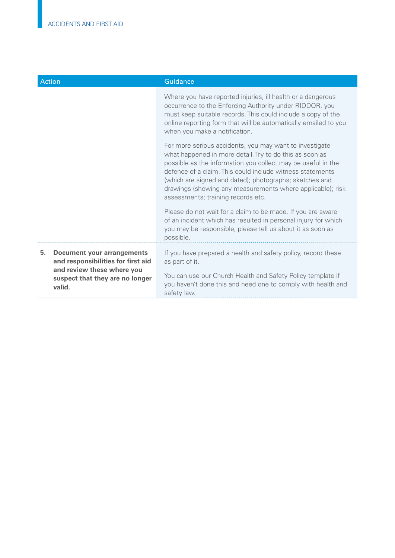| <b>Action</b>                                                                                                                                  | Guidance                                                                                                                                                                                                                                                                                                                                                                                                       |
|------------------------------------------------------------------------------------------------------------------------------------------------|----------------------------------------------------------------------------------------------------------------------------------------------------------------------------------------------------------------------------------------------------------------------------------------------------------------------------------------------------------------------------------------------------------------|
|                                                                                                                                                | Where you have reported injuries, ill health or a dangerous<br>occurrence to the Enforcing Authority under RIDDOR, you<br>must keep suitable records. This could include a copy of the<br>online reporting form that will be automatically emailed to you<br>when you make a notification.                                                                                                                     |
|                                                                                                                                                | For more serious accidents, you may want to investigate<br>what happened in more detail. Try to do this as soon as<br>possible as the information you collect may be useful in the<br>defence of a claim. This could include witness statements<br>(which are signed and dated); photographs; sketches and<br>drawings (showing any measurements where applicable); risk<br>assessments; training records etc. |
|                                                                                                                                                | Please do not wait for a claim to be made. If you are aware<br>of an incident which has resulted in personal injury for which<br>you may be responsible, please tell us about it as soon as<br>possible.                                                                                                                                                                                                       |
| <b>Document your arrangements</b><br>5.<br>and responsibilities for first aid<br>and review these where you<br>suspect that they are no longer | If you have prepared a health and safety policy, record these<br>as part of it.<br>You can use our Church Health and Safety Policy template if                                                                                                                                                                                                                                                                 |
| valid.                                                                                                                                         | you haven't done this and need one to comply with health and<br>safety law.                                                                                                                                                                                                                                                                                                                                    |